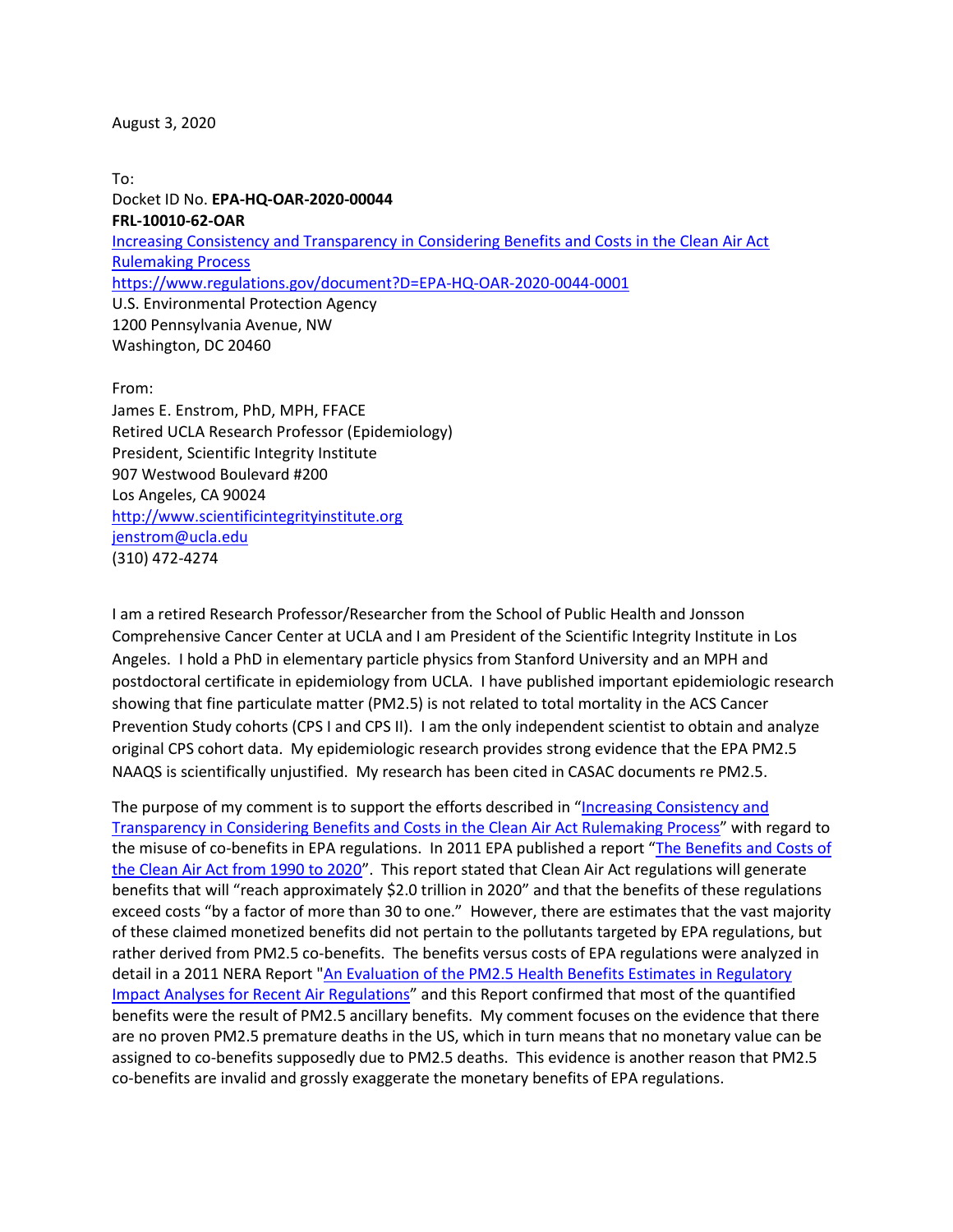#### August 3, 2020

To: Docket ID No. **EPA-HQ-OAR-2020-00044 FRL-10010-62-OAR** [Increasing Consistency and Transparency in Considering Benefits and Costs in the Clean Air Act](https://www.epa.gov/air-and-radiation/proposed-rule-increasing-consistency-considering-benefits-and-costs-clean-air-act)  [Rulemaking Process](https://www.epa.gov/air-and-radiation/proposed-rule-increasing-consistency-considering-benefits-and-costs-clean-air-act) <https://www.regulations.gov/document?D=EPA-HQ-OAR-2020-0044-0001> U.S. Environmental Protection Agency 1200 Pennsylvania Avenue, NW Washington, DC 20460

From:

James E. Enstrom, PhD, MPH, FFACE Retired UCLA Research Professor (Epidemiology) President, Scientific Integrity Institute 907 Westwood Boulevard #200 Los Angeles, CA 90024 [http://www.scientificintegrityinstitute.org](http://www.scientificintegrityinstitute.org/) [jenstrom@ucla.edu](mailto:jenstrom@ucla.edu) (310) 472-4274

I am a retired Research Professor/Researcher from the School of Public Health and Jonsson Comprehensive Cancer Center at UCLA and I am President of the Scientific Integrity Institute in Los Angeles. I hold a PhD in elementary particle physics from Stanford University and an MPH and postdoctoral certificate in epidemiology from UCLA. I have published important epidemiologic research showing that fine particulate matter (PM2.5) is not related to total mortality in the ACS Cancer Prevention Study cohorts (CPS I and CPS II). I am the only independent scientist to obtain and analyze original CPS cohort data. My epidemiologic research provides strong evidence that the EPA PM2.5 NAAQS is scientifically unjustified. My research has been cited in CASAC documents re PM2.5.

The purpose of my comment is to support the efforts described in "[Increasing Consistency and](https://www.epa.gov/air-and-radiation/proposed-rule-increasing-consistency-considering-benefits-and-costs-clean-air-act)  [Transparency in Considering Benefits and Costs in the Clean Air Act Rulemaking Process](https://www.epa.gov/air-and-radiation/proposed-rule-increasing-consistency-considering-benefits-and-costs-clean-air-act)" with regard to the misuse of co-benefits in EPA regulations. In 2011 EPA published a report "[The Benefits and Costs of](https://www.epa.gov/sites/production/files/2015-07/documents/fullreport_rev_a.pdf)  [the Clean Air Act from 1990 to 2020](https://www.epa.gov/sites/production/files/2015-07/documents/fullreport_rev_a.pdf)". This report stated that Clean Air Act regulations will generate benefits that will "reach approximately \$2.0 trillion in 2020" and that the benefits of these regulations exceed costs "by a factor of more than 30 to one." However, there are estimates that the vast majority of these claimed monetized benefits did not pertain to the pollutants targeted by EPA regulations, but rather derived from PM2.5 co-benefits. The benefits versus costs of EPA regulations were analyzed in detail in a 2011 NERA Report ["An Evaluation of the PM2.5 Health Benefits Estimates in Regulatory](https://www.nera.com/content/dam/nera/publications/archive2/PUB_RIA_Critique_Final_Report_1211.pdf)  [Impact Analyses for Recent Air Regulations](https://www.nera.com/content/dam/nera/publications/archive2/PUB_RIA_Critique_Final_Report_1211.pdf)" and this Report confirmed that most of the quantified benefits were the result of PM2.5 ancillary benefits. My comment focuses on the evidence that there are no proven PM2.5 premature deaths in the US, which in turn means that no monetary value can be assigned to co-benefits supposedly due to PM2.5 deaths. This evidence is another reason that PM2.5 co-benefits are invalid and grossly exaggerate the monetary benefits of EPA regulations.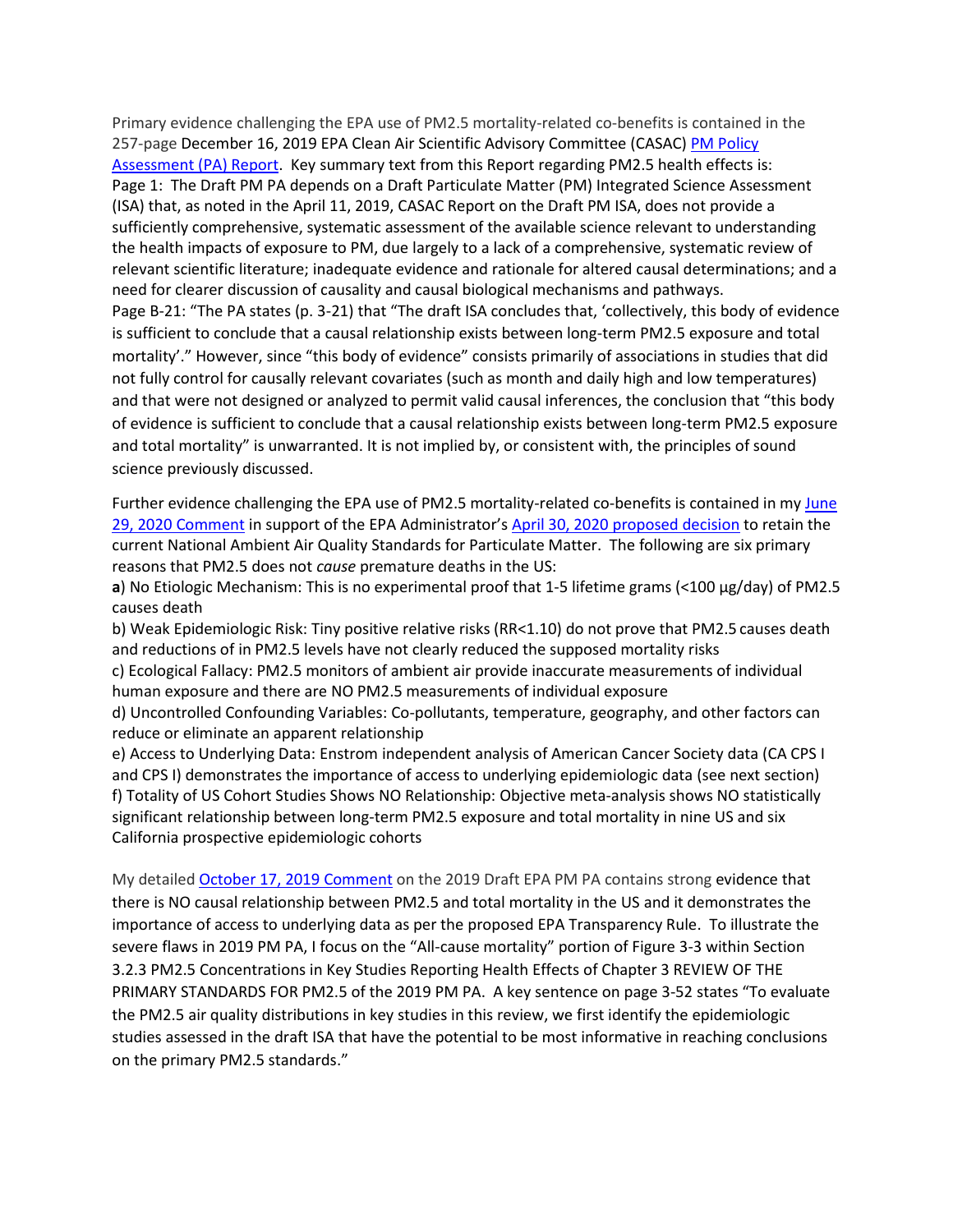Primary evidence challenging the EPA use of PM2.5 mortality-related co-benefits is contained in the 257-page December 16, 2019 EPA Clean Air Scientific Advisory Committee (CASAC) PM Policy [Assessment \(PA\) Report.](https://yosemite.epa.gov/sab%5Csabproduct.nsf/E2F6C71737201612852584D20069DFB1/$File/EPA-CASAC-20-001.pdf) Key summary text from this Report regarding PM2.5 health effects is: Page 1: The Draft PM PA depends on a Draft Particulate Matter (PM) Integrated Science Assessment (ISA) that, as noted in the April 11, 2019, CASAC Report on the Draft PM ISA, does not provide a sufficiently comprehensive, systematic assessment of the available science relevant to understanding the health impacts of exposure to PM, due largely to a lack of a comprehensive, systematic review of relevant scientific literature; inadequate evidence and rationale for altered causal determinations; and a need for clearer discussion of causality and causal biological mechanisms and pathways. Page B-21: "The PA states (p. 3-21) that "The draft ISA concludes that, 'collectively, this body of evidence is sufficient to conclude that a causal relationship exists between long-term PM2.5 exposure and total mortality'." However, since "this body of evidence" consists primarily of associations in studies that did not fully control for causally relevant covariates (such as month and daily high and low temperatures) and that were not designed or analyzed to permit valid causal inferences, the conclusion that "this body of evidence is sufficient to conclude that a causal relationship exists between long-term PM2.5 exposure and total mortality" is unwarranted. It is not implied by, or consistent with, the principles of sound science previously discussed.

Further evidence challenging the EPA use of PM2.5 mortality-related co-benefits is contained in my [June](https://www.regulations.gov/document?D=EPA-HQ-OAR-2015-0072-0834)  [29, 2020 Comment](https://www.regulations.gov/document?D=EPA-HQ-OAR-2015-0072-0834) in support of the EPA Administrator's [April 30, 2020 proposed decision](https://www.federalregister.gov/documents/2020/04/30/2020-08143/review-of-the-national-ambient-air-quality-standards-for-particulate-matter) to retain the current National Ambient Air Quality Standards for Particulate Matter. The following are six primary reasons that PM2.5 does not *cause* premature deaths in the US:

**a**) No Etiologic Mechanism: This is no experimental proof that 1-5 lifetime grams (<100 µg/day) of PM2.5 causes death

b) Weak Epidemiologic Risk: Tiny positive relative risks (RR<1.10) do not prove that PM2.5 causes death and reductions of in PM2.5 levels have not clearly reduced the supposed mortality risks

c) Ecological Fallacy: PM2.5 monitors of ambient air provide inaccurate measurements of individual human exposure and there are NO PM2.5 measurements of individual exposure

d) Uncontrolled Confounding Variables: Co-pollutants, temperature, geography, and other factors can reduce or eliminate an apparent relationship

e) Access to Underlying Data: Enstrom independent analysis of American Cancer Society data (CA CPS I and CPS I) demonstrates the importance of access to underlying epidemiologic data (see next section) f) Totality of US Cohort Studies Shows NO Relationship: Objective meta-analysis shows NO statistically significant relationship between long-term PM2.5 exposure and total mortality in nine US and six California prospective epidemiologic cohorts

My detailed [October 17, 2019 Comment](https://yosemite.epa.gov/sab/sabproduct.nsf/F729E7D8E248A2C5852584970009565A/$File/Enstrom+Comment+to+CASAC+re+090519+EPA+PM+PA+101719.pdf) on the 2019 Draft EPA PM PA contains strong evidence that there is NO causal relationship between PM2.5 and total mortality in the US and it demonstrates the importance of access to underlying data as per the proposed EPA Transparency Rule. To illustrate the severe flaws in 2019 PM PA, I focus on the "All-cause mortality" portion of Figure 3-3 within Section 3.2.3 PM2.5 Concentrations in Key Studies Reporting Health Effects of Chapter 3 REVIEW OF THE PRIMARY STANDARDS FOR PM2.5 of the 2019 PM PA. A key sentence on page 3-52 states "To evaluate the PM2.5 air quality distributions in key studies in this review, we first identify the epidemiologic studies assessed in the draft ISA that have the potential to be most informative in reaching conclusions on the primary PM2.5 standards."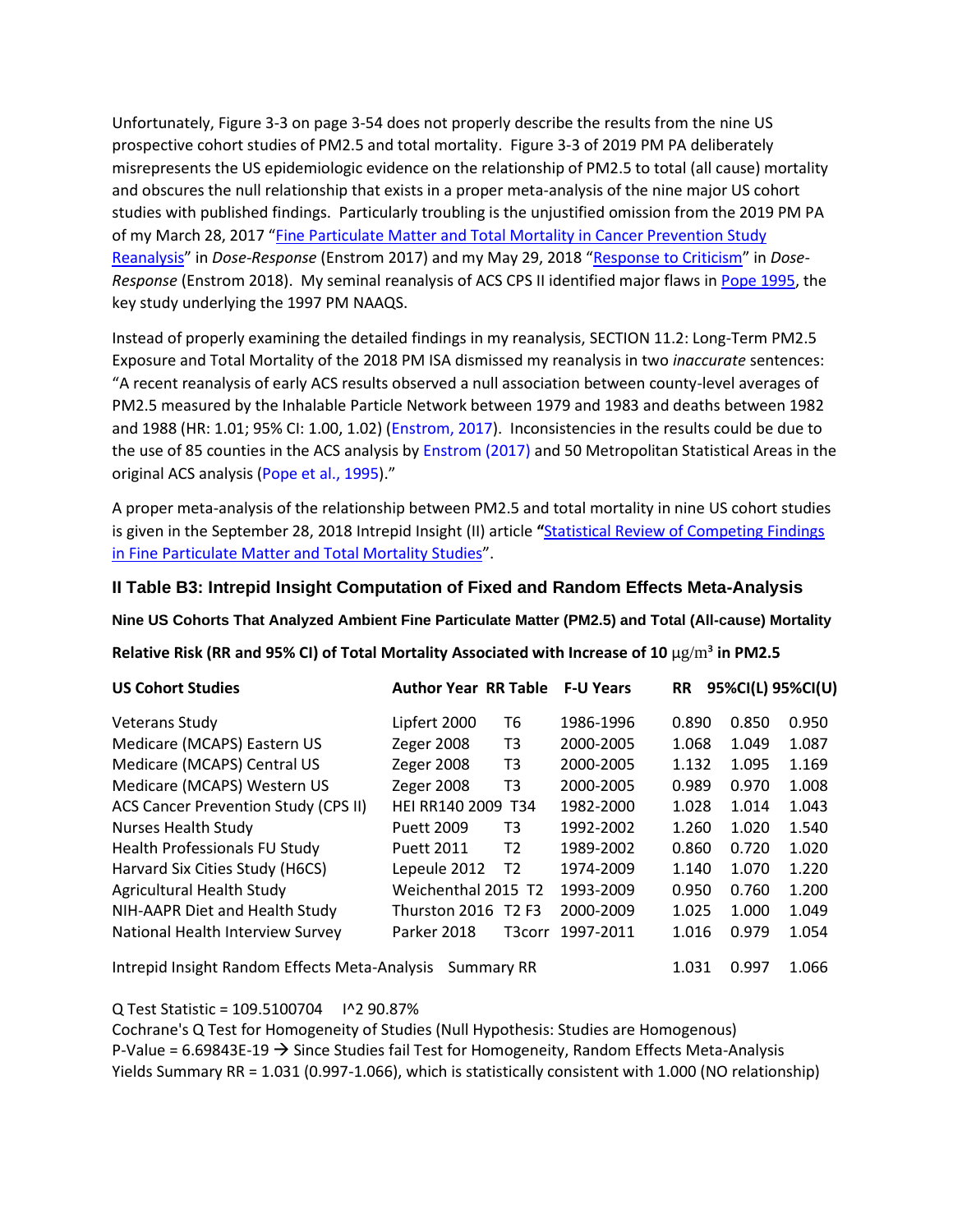Unfortunately, Figure 3-3 on page 3-54 does not properly describe the results from the nine US prospective cohort studies of PM2.5 and total mortality. Figure 3-3 of 2019 PM PA deliberately misrepresents the US epidemiologic evidence on the relationship of PM2.5 to total (all cause) mortality and obscures the null relationship that exists in a proper meta-analysis of the nine major US cohort studies with published findings. Particularly troubling is the unjustified omission from the 2019 PM PA of my March 28, 2017 "[Fine Particulate Matter and Total Mortality in Cancer Prevention Study](doi:%2010.1177/1559325817693345)  [Reanalysis](doi:%2010.1177/1559325817693345)" in *Dose-Response* (Enstrom 2017) and my May 29, 2018 "[Response to Criticism](doi:%2010.1177/1559325818769728)" in *Dose-Response* (Enstrom 2018). My seminal reanalysis of ACS CPS II identified major flaws in [Pope 1995,](https://doi.org/10.1164/ajrccm/151.3_Pt_1.669) the key study underlying the 1997 PM NAAQS.

Instead of properly examining the detailed findings in my reanalysis, SECTION 11.2: Long-Term PM2.5 Exposure and Total Mortality of the 2018 PM ISA dismissed my reanalysis in two *inaccurate* sentences: "A recent reanalysis of early ACS results observed a null association between county-level averages of PM2.5 measured by the Inhalable Particle Network between 1979 and 1983 and deaths between 1982 and 1988 (HR: 1.01; 95% CI: 1.00, 1.02) (Enstrom, 2017). Inconsistencies in the results could be due to the use of 85 counties in the ACS analysis by Enstrom (2017) and 50 Metropolitan Statistical Areas in the original ACS analysis (Pope et al., 1995)."

A proper meta-analysis of the relationship between PM2.5 and total mortality in nine US cohort studies is given in the September 28, 2018 Intrepid Insight (II) article **"**[Statistical Review of Competing Findings](https://intrepidinsight.com/pm25-statreview/)  [in Fine Particulate Matter and Total Mortality Studies](https://intrepidinsight.com/pm25-statreview/)".

### **II Table B3: Intrepid Insight Computation of Fixed and Random Effects Meta-Analysis**

**Nine US Cohorts That Analyzed Ambient Fine Particulate Matter (PM2.5) and Total (All-cause) Mortality**

**Relative Risk (RR and 95% CI) of Total Mortality Associated with Increase of 10** μg/m³ **in PM2.5**

| <b>US Cohort Studies</b>                      | <b>Author Year RR Table</b> |                | <b>F-U Years</b> | <b>RR</b> | 95%CI(L) 95%CI(U) |       |
|-----------------------------------------------|-----------------------------|----------------|------------------|-----------|-------------------|-------|
| <b>Veterans Study</b>                         | Lipfert 2000                | Т6             | 1986-1996        | 0.890     | 0.850             | 0.950 |
| Medicare (MCAPS) Eastern US                   | <b>Zeger 2008</b>           | T3             | 2000-2005        | 1.068     | 1.049             | 1.087 |
| Medicare (MCAPS) Central US                   | Zeger 2008                  | T3             | 2000-2005        | 1.132     | 1.095             | 1.169 |
| Medicare (MCAPS) Western US                   | Zeger 2008                  | T3             | 2000-2005        | 0.989     | 0.970             | 1.008 |
| <b>ACS Cancer Prevention Study (CPS II)</b>   | <b>HEI RR140 2009</b>       | T34            | 1982-2000        | 1.028     | 1.014             | 1.043 |
| <b>Nurses Health Study</b>                    | Puett 2009                  | T3             | 1992-2002        | 1.260     | 1.020             | 1.540 |
| <b>Health Professionals FU Study</b>          | <b>Puett 2011</b>           | T2             | 1989-2002        | 0.860     | 0.720             | 1.020 |
| Harvard Six Cities Study (H6CS)               | Lepeule 2012                | T <sub>2</sub> | 1974-2009        | 1.140     | 1.070             | 1.220 |
| Agricultural Health Study                     | Weichenthal 2015 T2         |                | 1993-2009        | 0.950     | 0.760             | 1.200 |
| NIH-AAPR Diet and Health Study                | Thurston 2016 T2 F3         |                | 2000-2009        | 1.025     | 1.000             | 1.049 |
| National Health Interview Survey              | Parker 2018                 | T3corr         | 1997-2011        | 1.016     | 0.979             | 1.054 |
| Intrepid Insight Random Effects Meta-Analysis | 1.031                       | 0.997          | 1.066            |           |                   |       |

Q Test Statistic = 109.5100704 I^2 90.87%

Cochrane's Q Test for Homogeneity of Studies (Null Hypothesis: Studies are Homogenous) P-Value =  $6.69843E-19 \rightarrow$  Since Studies fail Test for Homogeneity, Random Effects Meta-Analysis Yields Summary RR = 1.031 (0.997-1.066), which is statistically consistent with 1.000 (NO relationship)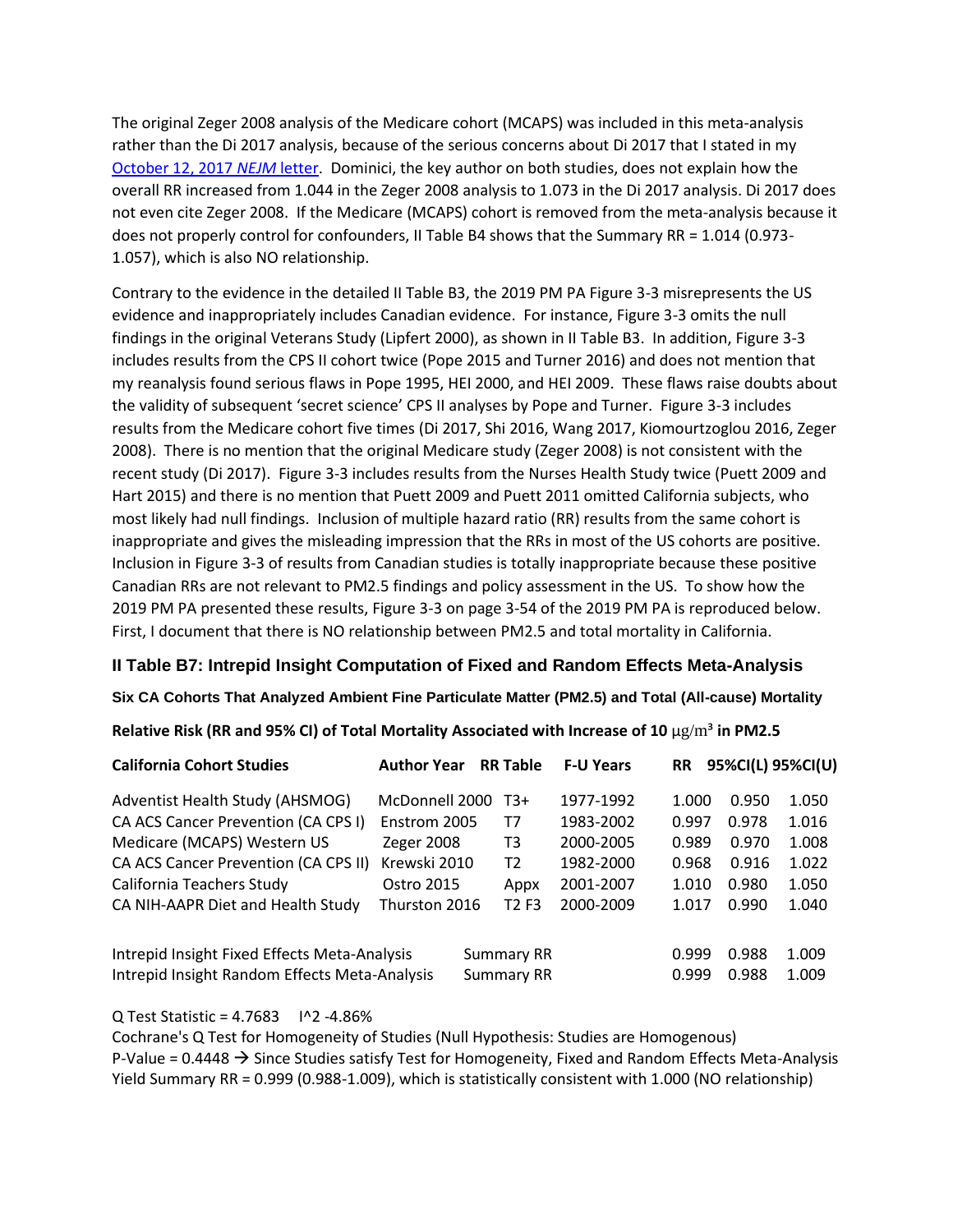The original Zeger 2008 analysis of the Medicare cohort (MCAPS) was included in this meta-analysis rather than the Di 2017 analysis, because of the serious concerns about Di 2017 that I stated in my [October 12, 2017](http://www.scientificintegrityinstitute.org/Enstrom071817.pdf) *NEJM* letter. Dominici, the key author on both studies, does not explain how the overall RR increased from 1.044 in the Zeger 2008 analysis to 1.073 in the Di 2017 analysis. Di 2017 does not even cite Zeger 2008. If the Medicare (MCAPS) cohort is removed from the meta-analysis because it does not properly control for confounders, II Table B4 shows that the Summary RR = 1.014 (0.973- 1.057), which is also NO relationship.

Contrary to the evidence in the detailed II Table B3, the 2019 PM PA Figure 3-3 misrepresents the US evidence and inappropriately includes Canadian evidence. For instance, Figure 3-3 omits the null findings in the original Veterans Study (Lipfert 2000), as shown in II Table B3. In addition, Figure 3-3 includes results from the CPS II cohort twice (Pope 2015 and Turner 2016) and does not mention that my reanalysis found serious flaws in Pope 1995, HEI 2000, and HEI 2009. These flaws raise doubts about the validity of subsequent 'secret science' CPS II analyses by Pope and Turner. Figure 3-3 includes results from the Medicare cohort five times (Di 2017, Shi 2016, Wang 2017, Kiomourtzoglou 2016, Zeger 2008). There is no mention that the original Medicare study (Zeger 2008) is not consistent with the recent study (Di 2017). Figure 3-3 includes results from the Nurses Health Study twice (Puett 2009 and Hart 2015) and there is no mention that Puett 2009 and Puett 2011 omitted California subjects, who most likely had null findings. Inclusion of multiple hazard ratio (RR) results from the same cohort is inappropriate and gives the misleading impression that the RRs in most of the US cohorts are positive. Inclusion in Figure 3-3 of results from Canadian studies is totally inappropriate because these positive Canadian RRs are not relevant to PM2.5 findings and policy assessment in the US. To show how the 2019 PM PA presented these results, Figure 3-3 on page 3-54 of the 2019 PM PA is reproduced below. First, I document that there is NO relationship between PM2.5 and total mortality in California.

### **II Table B7: Intrepid Insight Computation of Fixed and Random Effects Meta-Analysis**

### **Six CA Cohorts That Analyzed Ambient Fine Particulate Matter (PM2.5) and Total (All-cause) Mortality**

### **Relative Risk (RR and 95% CI) of Total Mortality Associated with Increase of 10** μg/m³ **in PM2.5**

| <b>California Cohort Studies</b>                                                              | <b>Author Year</b>              | <b>RR Table</b>               | <b>F-U Years</b> | <b>RR</b>      |                | 95%CI(L) 95%CI(U) |
|-----------------------------------------------------------------------------------------------|---------------------------------|-------------------------------|------------------|----------------|----------------|-------------------|
| Adventist Health Study (AHSMOG)                                                               | McDonnell 2000                  | T3+                           | 1977-1992        | 1.000          | 0.950          | 1.050             |
| CA ACS Cancer Prevention (CA CPS I)                                                           | Enstrom 2005                    | T7                            | 1983-2002        | 0.997          | 0.978          | 1.016             |
| Medicare (MCAPS) Western US                                                                   | Zeger 2008                      | T3                            | 2000-2005        | 0.989          | 0.970          | 1.008             |
| CA ACS Cancer Prevention (CA CPS II)                                                          | Krewski 2010                    | T2                            | 1982-2000        | 0.968          | 0.916          | 1.022             |
| California Teachers Study                                                                     | Ostro 2015                      | Appx                          | 2001-2007        | 1.010          | 0.980          | 1.050             |
| CA NIH-AAPR Diet and Health Study                                                             | Thurston 2016                   | T <sub>2</sub> F <sub>3</sub> | 2000-2009        | 1.017          | 0.990          | 1.040             |
| Intrepid Insight Fixed Effects Meta-Analysis<br>Intrepid Insight Random Effects Meta-Analysis | Summary RR<br><b>Summary RR</b> |                               | 0.999<br>0.999   | 0.988<br>0.988 | 1.009<br>1.009 |                   |

### Q Test Statistic = 4.7683 I^2 -4.86%

Cochrane's Q Test for Homogeneity of Studies (Null Hypothesis: Studies are Homogenous) P-Value =  $0.4448 \rightarrow$  Since Studies satisfy Test for Homogeneity, Fixed and Random Effects Meta-Analysis Yield Summary RR = 0.999 (0.988-1.009), which is statistically consistent with 1.000 (NO relationship)